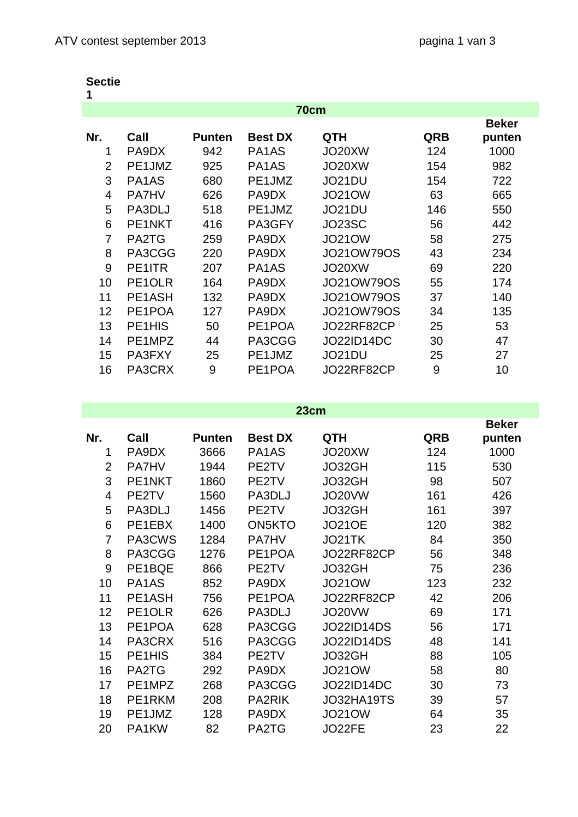| <b>Sectie</b> |  |
|---------------|--|
| 1             |  |

| 70cm           |                                 |               |                                |                   |            |              |
|----------------|---------------------------------|---------------|--------------------------------|-------------------|------------|--------------|
|                |                                 |               |                                |                   |            | <b>Beker</b> |
| Nr.            | Call                            | <b>Punten</b> | <b>Best DX</b>                 | <b>QTH</b>        | <b>QRB</b> | punten       |
| 1              | PA9DX                           | 942           | PA1AS                          | JO20XW            | 124        | 1000         |
| 2              | PE1JMZ                          | 925           | PA <sub>1</sub> A <sub>S</sub> | JO20XW            | 154        | 982          |
| 3              | PA <sub>1</sub> A <sub>S</sub>  | 680           | PE1JMZ                         | JO21DU            | 154        | 722          |
| 4              | <b>PA7HV</b>                    | 626           | PA9DX                          | <b>JO21OW</b>     | 63         | 665          |
| 5              | PA3DLJ                          | 518           | PE1JMZ                         | JO21DU            | 146        | 550          |
| 6              | PE <sub>1</sub> NKT             | 416           | PA3GFY                         | JO23SC            | 56         | 442          |
| $\overline{7}$ | PA2TG                           | 259           | PA9DX                          | <b>JO21OW</b>     | 58         | 275          |
| 8              | PA3CGG                          | 220           | PA9DX                          | <b>JO21OW79OS</b> | 43         | 234          |
| 9              | PE1ITR                          | 207           | PA <sub>1</sub> A <sub>S</sub> | JO20XW            | 69         | 220          |
| 10             | PE <sub>1</sub> OLR             | 164           | PA9DX                          | <b>JO21OW79OS</b> | 55         | 174          |
| 11             | PE1ASH                          | 132           | PA9DX                          | <b>JO21OW79OS</b> | 37         | 140          |
| 12             | PE1POA                          | 127           | PA9DX                          | <b>JO21OW79OS</b> | 34         | 135          |
| 13             | PE <sub>1</sub> H <sub>IS</sub> | 50            | PE <sub>1</sub> POA            | JO22RF82CP        | 25         | 53           |
| 14             | PE1MPZ                          | 44            | PA3CGG                         | JO22ID14DC        | 30         | 47           |
| 15             | PA3FXY                          | 25            | PE1JMZ                         | JO21DU            | 25         | 27           |
| 16             | PA3CRX                          | 9             | PE <sub>1</sub> POA            | JO22RF82CP        | 9          | 10           |

**23cm** 

|                |                                 |               |                                |               |            | <b>Beker</b> |
|----------------|---------------------------------|---------------|--------------------------------|---------------|------------|--------------|
| Nr.            | Call                            | <b>Punten</b> | <b>Best DX</b>                 | <b>QTH</b>    | <b>QRB</b> | punten       |
| 1              | PA9DX                           | 3666          | PA <sub>1</sub> A <sub>S</sub> | JO20XW        | 124        | 1000         |
| $\overline{2}$ | <b>PA7HV</b>                    | 1944          | PE2TV                          | JO32GH        | 115        | 530          |
| 3              | PE1NKT                          | 1860          | PE2TV                          | JO32GH        | 98         | 507          |
| 4              | PE2TV                           | 1560          | PA3DLJ                         | JO20VW        | 161        | 426          |
| 5              | PA3DLJ                          | 1456          | PE2TV                          | JO32GH        | 161        | 397          |
| 6              | PE1EBX                          | 1400          | ON5KTO                         | <b>JO21OE</b> | 120        | 382          |
| $\overline{7}$ | PA3CWS                          | 1284          | <b>PA7HV</b>                   | JO21TK        | 84         | 350          |
| 8              | PA3CGG                          | 1276          | PE1POA                         | JO22RF82CP    | 56         | 348          |
| 9              | PE1BQE                          | 866           | PE2TV                          | JO32GH        | 75         | 236          |
| 10             | PA1AS                           | 852           | PA9DX                          | <b>JO21OW</b> | 123        | 232          |
| 11             | PE1ASH                          | 756           | PE1POA                         | JO22RF82CP    | 42         | 206          |
| 12             | PE1OLR                          | 626           | PA3DLJ                         | JO20VW        | 69         | 171          |
| 13             | PE1POA                          | 628           | PA3CGG                         | JO22ID14DS    | 56         | 171          |
| 14             | PA3CRX                          | 516           | PA3CGG                         | JO22ID14DS    | 48         | 141          |
| 15             | PE <sub>1</sub> H <sub>IS</sub> | 384           | PE2TV                          | JO32GH        | 88         | 105          |
| 16             | PA2TG                           | 292           | PA9DX                          | <b>JO21OW</b> | 58         | 80           |
| 17             | PE1MPZ                          | 268           | PA3CGG                         | JO22ID14DC    | 30         | 73           |
| 18             | PE1RKM                          | 208           | PA2RIK                         | JO32HA19TS    | 39         | 57           |
| 19             | PE1JMZ                          | 128           | PA9DX                          | <b>JO21OW</b> | 64         | 35           |
| 20             | PA1KW                           | 82            | PA2TG                          | JO22FE        | 23         | 22           |
|                |                                 |               |                                |               |            |              |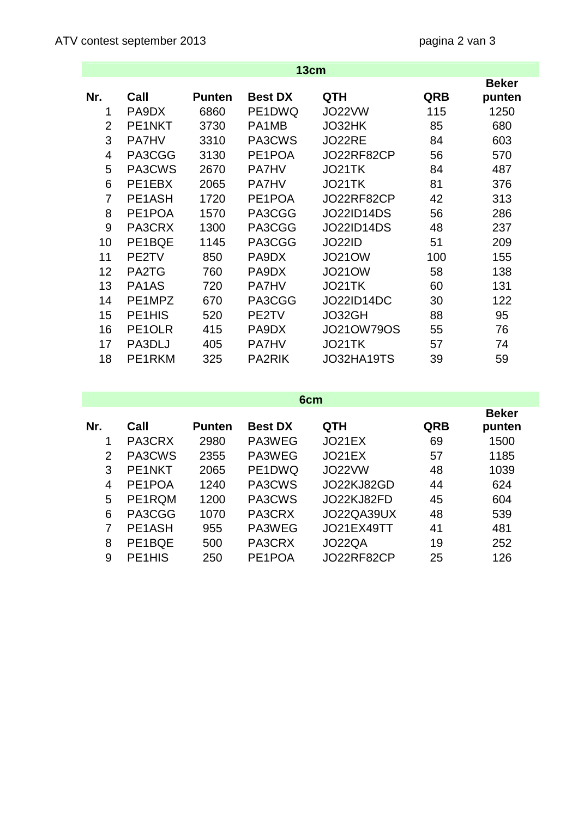| 13cm |                                 |               |                |                   |            |              |
|------|---------------------------------|---------------|----------------|-------------------|------------|--------------|
|      |                                 |               |                |                   |            | <b>Beker</b> |
| Nr.  | Call                            | <b>Punten</b> | <b>Best DX</b> | <b>QTH</b>        | <b>QRB</b> | punten       |
| 1    | PA9DX                           | 6860          | PE1DWQ         | JO22VW            | 115        | 1250         |
| 2    | PE1NKT                          | 3730          | PA1MB          | JO32HK            | 85         | 680          |
| 3    | <b>PA7HV</b>                    | 3310          | PA3CWS         | JO22RE            | 84         | 603          |
| 4    | PA3CGG                          | 3130          | PE1POA         | JO22RF82CP        | 56         | 570          |
| 5    | PA3CWS                          | 2670          | <b>PA7HV</b>   | JO21TK            | 84         | 487          |
| 6    | PE1EBX                          | 2065          | <b>PA7HV</b>   | JO21TK            | 81         | 376          |
| 7    | PE1ASH                          | 1720          | PE1POA         | JO22RF82CP        | 42         | 313          |
| 8    | PE1POA                          | 1570          | PA3CGG         | JO22ID14DS        | 56         | 286          |
| 9    | PA3CRX                          | 1300          | PA3CGG         | <b>JO22ID14DS</b> | 48         | 237          |
| 10   | PE1BQE                          | 1145          | PA3CGG         | <b>JO22ID</b>     | 51         | 209          |
| 11   | PE2TV                           | 850           | PA9DX          | <b>JO21OW</b>     | 100        | 155          |
| 12   | PA2TG                           | 760           | PA9DX          | <b>JO21OW</b>     | 58         | 138          |
| 13   | PA1AS                           | 720           | <b>PA7HV</b>   | JO21TK            | 60         | 131          |
| 14   | PE1MPZ                          | 670           | PA3CGG         | <b>JO22ID14DC</b> | 30         | 122          |
| 15   | PE <sub>1</sub> H <sub>IS</sub> | 520           | PE2TV          | JO32GH            | 88         | 95           |
| 16   | PE <sub>1</sub> OLR             | 415           | PA9DX          | <b>JO21OW79OS</b> | 55         | 76           |
| 17   | PA3DLJ                          | 405           | <b>PA7HV</b>   | JO21TK            | 57         | 74           |
| 18   | PE1RKM                          | 325           | PA2RIK         | JO32HA19TS        | 39         | 59           |

| 6cm |  |
|-----|--|
|-----|--|

|     |                                 |               |                     |            |            | <b>Beker</b> |
|-----|---------------------------------|---------------|---------------------|------------|------------|--------------|
| Nr. | Call                            | <b>Punten</b> | <b>Best DX</b>      | <b>QTH</b> | <b>QRB</b> | punten       |
| 1   | PA3CRX                          | 2980          | PA3WEG              | JO21EX     | 69         | 1500         |
| 2   | PA3CWS                          | 2355          | PA3WEG              | JO21EX     | 57         | 1185         |
| 3   | PE1NKT                          | 2065          | PE1DWQ              | JO22VW     | 48         | 1039         |
| 4   | PE1POA                          | 1240          | PA3CWS              | JO22KJ82GD | 44         | 624          |
| 5   | PE1RQM                          | 1200          | PA3CWS              | JO22KJ82FD | 45         | 604          |
| 6   | PA3CGG                          | 1070          | PA3CRX              | JO22QA39UX | 48         | 539          |
| 7   | PE1ASH                          | 955           | PA3WEG              | JO21EX49TT | 41         | 481          |
| 8   | PE1BQE                          | 500           | PA3CRX              | JO22QA     | 19         | 252          |
| 9   | PE <sub>1</sub> H <sub>IS</sub> | 250           | PE <sub>1</sub> POA | JO22RF82CP | 25         | 126          |
|     |                                 |               |                     |            |            |              |